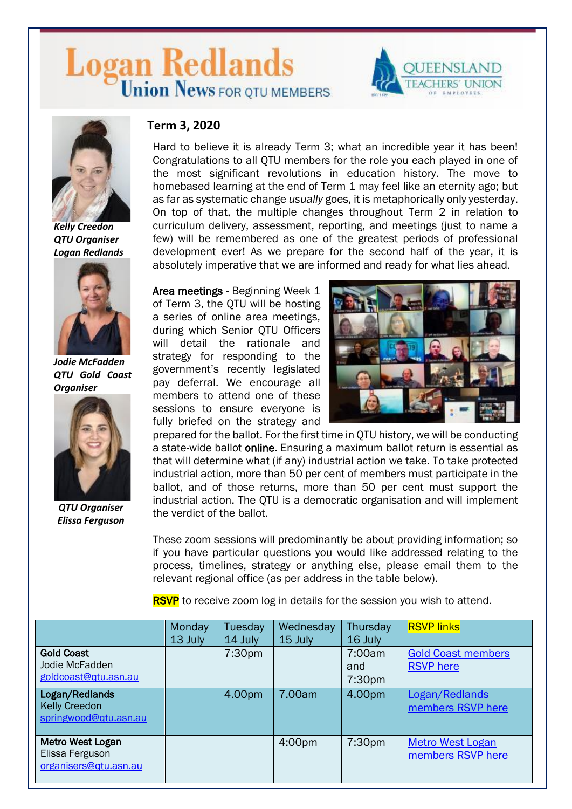# Logan Redlands





*Kelly Creedon QTU Organiser Logan Redlands*



*Jodie McFadden QTU Gold Coast Organiser*



*QTU Organiser Elissa Ferguson*

## **Term 3, 2020**

Hard to believe it is already Term 3; what an incredible year it has been! Congratulations to all QTU members for the role you each played in one of the most significant revolutions in education history. The move to homebased learning at the end of Term 1 may feel like an eternity ago; but as far as systematic change *usually* goes, it is metaphorically only yesterday. On top of that, the multiple changes throughout Term 2 in relation to curriculum delivery, assessment, reporting, and meetings (just to name a few) will be remembered as one of the greatest periods of professional development ever! As we prepare for the second half of the year, it is absolutely imperative that we are informed and ready for what lies ahead.

Area meetings - Beginning Week 1 of Term 3, the QTU will be hosting a series of online area meetings, during which Senior QTU Officers will detail the rationale and strategy for responding to the government's recently legislated pay deferral. We encourage all members to attend one of these sessions to ensure everyone is fully briefed on the strategy and



prepared for the ballot. For the first time in QTU history, we will be conducting a state-wide ballot online. Ensuring a maximum ballot return is essential as that will determine what (if any) industrial action we take. To take protected industrial action, more than 50 per cent of members must participate in the ballot, and of those returns, more than 50 per cent must support the industrial action. The QTU is a democratic organisation and will implement the verdict of the ballot.

These zoom sessions will predominantly be about providing information; so if you have particular questions you would like addressed relating to the process, timelines, strategy or anything else, please email them to the relevant regional office (as per address in the table below).

**RSVP** to receive zoom log in details for the session you wish to attend.

|                                                                 | Monday<br>13 July | Tuesday<br>14 July | Wednesday<br>15 July | Thursday<br>16 July                 | <b>RSVP links</b>                             |
|-----------------------------------------------------------------|-------------------|--------------------|----------------------|-------------------------------------|-----------------------------------------------|
| <b>Gold Coast</b><br>Jodie McFadden<br>goldcoast@qtu.asn.au     |                   | 7:30pm             |                      | 7:00am<br>and<br>7:30 <sub>pm</sub> | <b>Gold Coast members</b><br><b>RSVP</b> here |
| Logan/Redlands<br><b>Kelly Creedon</b><br>springwood@qtu.asn.au |                   | 4.00pm             | 7.00am               | 4.00pm                              | Logan/Redlands<br>members RSVP here           |
| Metro West Logan<br>Elissa Ferguson<br>organisers@qtu.asn.au    |                   |                    | 4:00pm               | 7:30pm                              | <b>Metro West Logan</b><br>members RSVP here  |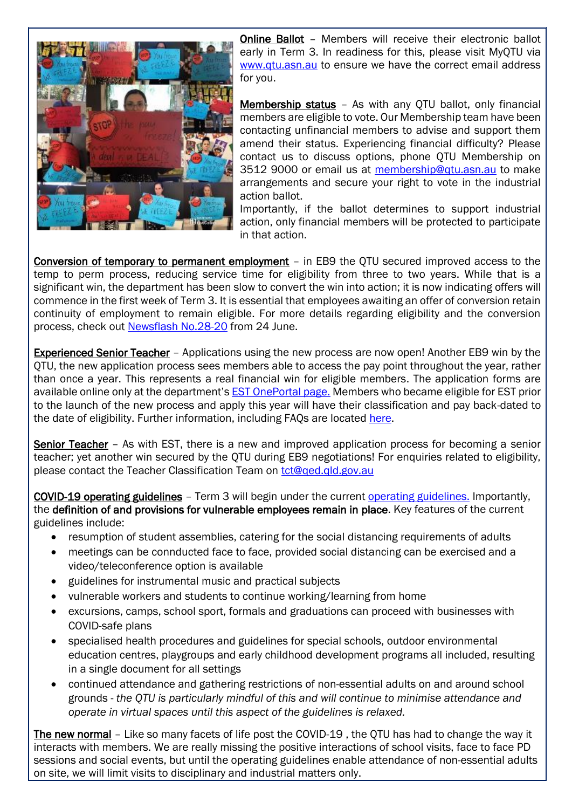

Online Ballot – Members will receive their electronic ballot early in Term 3. In readiness for this, please visit MyQTU via [www.qtu.asn.au](http://www.qtu.asn.au/) to ensure we have the correct email address for you.

Membership status – As with any QTU ballot, only financial members are eligible to vote. Our Membership team have been contacting unfinancial members to advise and support them amend their status. Experiencing financial difficulty? Please contact us to discuss options, phone QTU Membership on 3512 9000 or email us at [membership@qtu.asn.au](mailto:membership@qtu.asn.au) to make arrangements and secure your right to vote in the industrial action ballot.

Importantly, if the ballot determines to support industrial action, only financial members will be protected to participate in that action.

Conversion of temporary to permanent employment – in EB9 the QTU secured improved access to the temp to perm process, reducing service time for eligibility from three to two years. While that is a significant win, the department has been slow to convert the win into action; it is now indicating offers will commence in the first week of Term 3. It is essential that employees awaiting an offer of conversion retain continuity of employment to remain eligible. For more details regarding eligibility and the conversion process, check out [Newsflash No.28-20](https://www.qtu.asn.au/application/files/8215/9297/3005/Nflash_28-20.pdf) from 24 June.

Experienced Senior Teacher – Applications using the new process are now open! Another EB9 win by the QTU, the new application process sees members able to access the pay point throughout the year, rather than once a year. This represents a real financial win for eligible members. The application forms are available online only at the department's [EST OnePortal page.](https://fed.education.qld.gov.au/idp/prp.wsf?wa=wsignin1.0&wtrealm=urn%3asharepoint%3aiportal&wctx=https%3a%2f%2fintranet.qed.qld.gov.au%2fServices%2fHumanResources%2fpayrollhr%2fcareers%2fclassifiedteachingstaffrecruitmentselection%2f_layouts%2f15%2fAuthenticate.aspx%3fSource%3d%252FServices%252FHumanResources%252Fpayrollhr%252Fcareers%252Fclassifiedteachingstaffrecruitmentselection%252FPages%252Fexperiencedseniorteacherrecruitment%252Easpx&wreply=https%3a%2f%2fintranet.qed.qld.gov.au%2f_trust%2fdefault.aspx) Members who became eligible for EST prior to the launch of the new process and apply this year will have their classification and pay back-dated to the date of eligibility. Further information, including FAQs are located [here.](https://www.qtu.asn.au/est)

Senior Teacher – As with EST, there is a new and improved application process for becoming a senior teacher; yet another win secured by the QTU during EB9 negotiations! For enquiries related to eligibility, please contact the Teacher Classification Team on [tct@qed.qld.gov.au](mailto:tct@qed.qld.gov.au)

COVID-19 operating guidelines – Term 3 will begin under the current [operating guidelines.](https://www.qtu.asn.au/application/files/6515/9287/7367/covid-19-operating-guidelines-qld-state-schools.pdf) Importantly, the definition of and provisions for vulnerable employees remain in place. Key features of the current guidelines include:

- resumption of student assemblies, catering for the social distancing requirements of adults
- meetings can be connducted face to face, provided social distancing can be exercised and a video/teleconference option is available
- guidelines for instrumental music and practical subjects
- vulnerable workers and students to continue working/learning from home
- excursions, camps, school sport, formals and graduations can proceed with businesses with COVID-safe plans
- specialised health procedures and guidelines for special schools, outdoor environmental education centres, playgroups and early childhood development programs all included, resulting in a single document for all settings
- continued attendance and gathering restrictions of non-essential adults on and around school grounds - *the QTU is particularly mindful of this and will continue to minimise attendance and operate in virtual spaces until this aspect of the guidelines is relaxed.*

The new normal – Like so many facets of life post the COVID-19 , the QTU has had to change the way it interacts with members. We are really missing the positive interactions of school visits, face to face PD sessions and social events, but until the operating guidelines enable attendance of non-essential adults on site, we will limit visits to disciplinary and industrial matters only.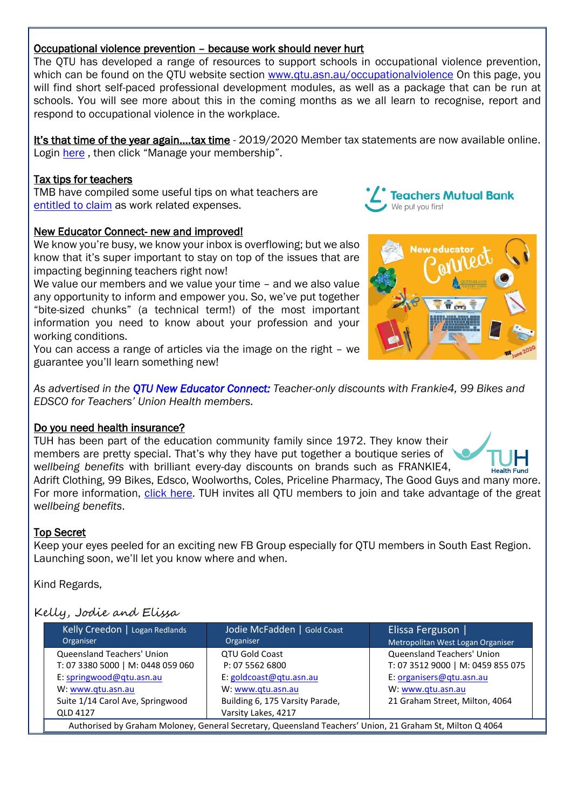## Occupational violence prevention – because work should never hurt

The QTU has developed a range of resources to support schools in occupational violence prevention, which can be found on the QTU website section [www.qtu.asn.au/occupationalviolence](http://www.qtu.asn.au/occupationalviolence) On this page, you will find short self-paced professional development modules, as well as a package that can be run at schools. You will see more about this in the coming months as we all learn to recognise, report and respond to occupational violence in the workplace.

It's that time of the year again….tax time - 2019/2020 Member tax statements are now available online. Login [here](https://www.qtu.asn.au/myqtu) , then click "Manage your membership".

#### [Tax tips for teachers](https://www.tmbank.com.au/thinkbank/money-tips/tax-tips-for-teachers)

TMB have compiled some useful tips on what teachers are [entitled to claim](https://www.tmbank.com.au/thinkbank/money-tips/tax-tips-for-teachers) as work related expenses.

#### New Educator Connect- new and improved!

We know you're busy, we know your inbox is overflowing; but we also know that it's super important to stay on top of the issues that are impacting beginning teachers right now!

We value our members and we value your time – and we also value any opportunity to inform and empower you. So, we've put together "bite-sized chunks" (a technical term!) of the most important information you need to know about your profession and your working conditions.

You can access a range of articles via the image on the right – we guarantee you'll learn something new!

*As advertised in the [QTU New Educator Connect:](https://www.qtu.asn.au/ne-connect-june2020-p09) Teacher-only discounts with Frankie4, 99 Bikes and EDSCO for Teachers' Union Health members.*

#### Do you need health insurance?

TUH has been part of the education community family since 1972. They know their members are pretty special. That's why they have put together a boutique series of w*ellbeing benefits* with brilliant every-day discounts on brands such as FRANKIE4, Adrift Clothing, 99 Bikes, Edsco, Woolworths, Coles, Priceline Pharmacy, The Good Guys and many more. For more information, [click here.](https://tuh.com.au/wellbeing-benefits) TUH invites all QTU members to join and take advantage of the great

#### Top Secret

w*ellbeing benefits*.

Keep your eyes peeled for an exciting new FB Group especially for QTU members in South East Region. Launching soon, we'll let you know where and when.

Kind Regards,

## Kelly, Jodie and Elissa

| Kelly Creedon   Logan Redlands<br>Organiser                                                              | Jodie McFadden   Gold Coast<br>Organiser | Elissa Ferguson  <br>Metropolitan West Logan Organiser |  |  |  |
|----------------------------------------------------------------------------------------------------------|------------------------------------------|--------------------------------------------------------|--|--|--|
| Queensland Teachers' Union                                                                               | <b>QTU Gold Coast</b>                    | Queensland Teachers' Union                             |  |  |  |
| T: 07 3380 5000   M: 0448 059 060                                                                        | P: 07 5562 6800                          | T: 07 3512 9000   M: 0459 855 075                      |  |  |  |
| E: springwood@qtu.asn.au                                                                                 | E: goldcoast@qtu.asn.au                  | E: organisers@qtu.asn.au                               |  |  |  |
| W: www.gtu.asn.au                                                                                        | W: www.gtu.asn.au                        | W: www.gtu.asn.au                                      |  |  |  |
| Suite 1/14 Carol Ave, Springwood                                                                         | Building 6, 175 Varsity Parade,          | 21 Graham Street, Milton, 4064                         |  |  |  |
| <b>QLD 4127</b>                                                                                          | Varsity Lakes, 4217                      |                                                        |  |  |  |
| Authorised by Graham Moloney, General Secretary, Queensland Teachers' Union, 21 Graham St, Milton Q 4064 |                                          |                                                        |  |  |  |



**Teachers Mutual Bank** 

We put you first